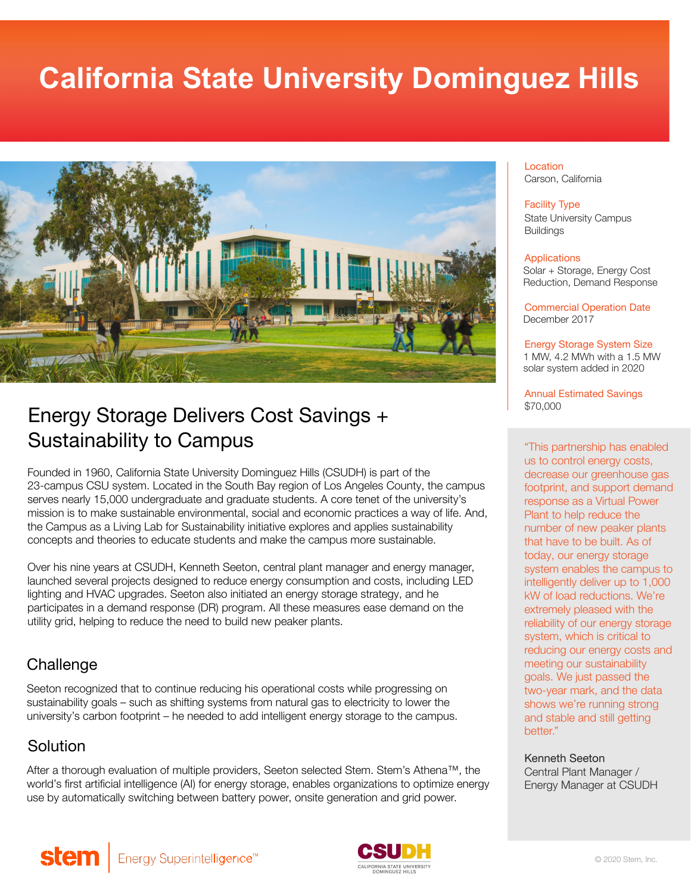# **California State University Dominguez Hills**



# Energy Storage Delivers Cost Savings + Sustainability to Campus

Founded in 1960, California State University Dominguez Hills (CSUDH) is part of the 23-campus CSU system. Located in the South Bay region of Los Angeles County, the campus serves nearly 15,000 undergraduate and graduate students. A core tenet of the university's mission is to make sustainable environmental, social and economic practices a way of life. And, the Campus as a Living Lab for Sustainability initiative explores and applies sustainability concepts and theories to educate students and make the campus more sustainable.

Over his nine years at CSUDH, Kenneth Seeton, central plant manager and energy manager, launched several projects designed to reduce energy consumption and costs, including LED lighting and HVAC upgrades. Seeton also initiated an energy storage strategy, and he participates in a demand response (DR) program. All these measures ease demand on the utility grid, helping to reduce the need to build new peaker plants.

# **Challenge**

Seeton recognized that to continue reducing his operational costs while progressing on sustainability goals – such as shifting systems from natural gas to electricity to lower the university's carbon footprint – he needed to add intelligent energy storage to the campus.

# Solution

After a thorough evaluation of multiple providers, Seeton selected Stem. Stem's Athena™, the world's first artificial intelligence (AI) for energy storage, enables organizations to optimize energy use by automatically switching between battery power, onsite generation and grid power.

#### Location Carson, California

#### Facility Type

State University Campus **Buildings** 

#### Applications

Solar + Storage, Energy Cost Reduction, Demand Response

Commercial Operation Date December 2017

Energy Storage System Size 1 MW, 4.2 MWh with a 1.5 MW solar system added in 2020

Annual Estimated Savings \$70,000

"This partnership has enabled us to control energy costs, decrease our greenhouse gas footprint, and support demand response as a Virtual Power Plant to help reduce the number of new peaker plants that have to be built. As of today, our energy storage system enables the campus to intelligently deliver up to 1,000 kW of load reductions. We're extremely pleased with the reliability of our energy storage system, which is critical to reducing our energy costs and meeting our sustainability goals. We just passed the two-year mark, and the data shows we're running strong and stable and still getting hetter."

Kenneth Seeton Central Plant Manager / Energy Manager at CSUDH